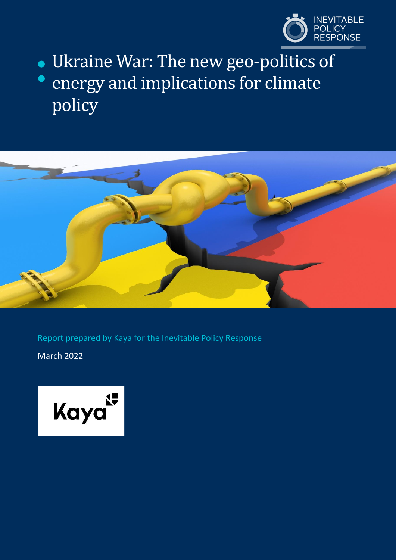

# Ukraine War: The new geo-politics of energy and implications for climate policy



Report prepared by Kaya for the Inevitable Policy Response

March 2022

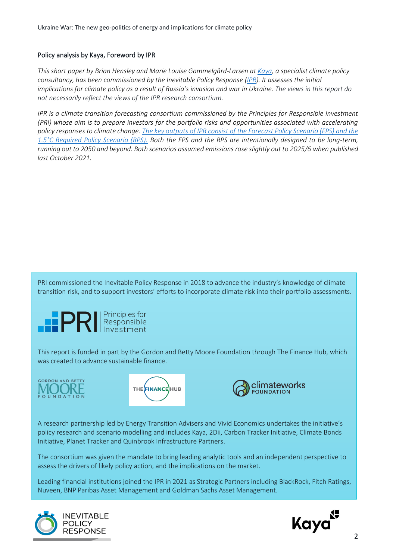#### Policy analysis by Kaya, Foreword by IPR

*This short paper by Brian Hensley and Marie Louise Gammelgård-Larsen at [Kaya,](https://deck.kaya.eco/) a specialist climate policy consultancy, has been commissioned by the Inevitable Policy Response [\(IPR\)](https://www.unpri.org/sustainability-issues/climate-change/inevitable-policy-response). It assesses the initial implications for climate policy as a result of Russia's invasion and war in Ukraine. The views in this report do not necessarily reflect the views of the IPR research consortium.*

*IPR is a climate transition forecasting consortium commissioned by the Principles for Responsible Investment (PRI) whose aim is to prepare investors for the portfolio risks and opportunities associated with accelerating policy responses to climate change. The key outputs [of IPR consist of the Forecast Policy Scenario \(FPS\) and the](https://www.unpri.org/sustainability-issues/climate-change/inevitable-policy-response)  [1.5°C Required Policy Scenario \(RPS\).](https://www.unpri.org/sustainability-issues/climate-change/inevitable-policy-response) Both the FPS and the RPS are intentionally designed to be long-term, running out to 2050 and beyond. Both scenarios assumed emissions rose slightly out to 2025/6 when published last October 2021.*

PRI commissioned the Inevitable Policy Response in 2018 to advance the industry's knowledge of climate transition risk, and to support investors' efforts to incorporate climate risk into their portfolio assessments.



This report is funded in part by the Gordon and Betty Moore Foundation through The Finance Hub, which was created to advance sustainable finance.







A research partnership led by Energy Transition Advisers and Vivid Economics undertakes the initiative's policy research and scenario modelling and includes Kaya, 2Dii, Carbon Tracker Initiative, Climate Bonds Initiative, Planet Tracker and Quinbrook Infrastructure Partners.

The consortium was given the mandate to bring leading analytic tools and an independent perspective to assess the drivers of likely policy action, and the implications on the market.

Leading financial institutions joined the IPR in 2021 as Strategic Partners including BlackRock, Fitch Ratings, Nuveen, BNP Paribas Asset Management and Goldman Sachs Asset Management.



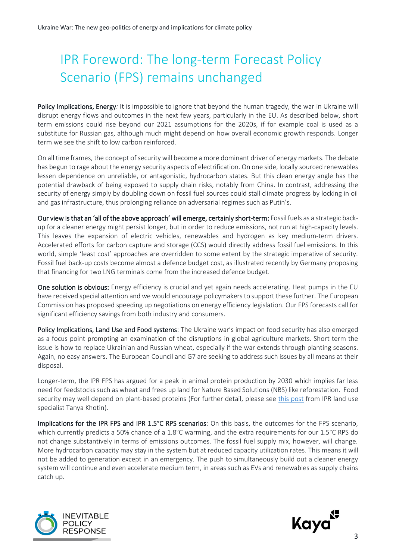## <span id="page-2-0"></span>IPR Foreword: The long-term Forecast Policy Scenario (FPS) remains unchanged

Policy Implications, Energy*:* It is impossible to ignore that beyond the human tragedy, the war in Ukraine will disrupt energy flows and outcomes in the next few years, particularly in the EU. As described below, short term emissions could rise beyond our 2021 assumptions for the 2020s, if for example coal is used as a substitute for Russian gas, although much might depend on how overall economic growth responds. Longer term we see the shift to low carbon reinforced.

On all time frames, the concept of security will become a more dominant driver of energy markets. The debate has begun to rage about the energy security aspects of electrification. On one side, locally sourced renewables lessen dependence on unreliable, or antagonistic, hydrocarbon states. But this clean energy angle has the potential drawback of being exposed to supply chain risks, notably from China. In contrast, addressing the security of energy simply by doubling down on fossil fuel sources could stall climate progress by locking in oil and gas infrastructure, thus prolonging reliance on adversarial regimes such as Putin's.

Our view is that an 'all of the above approach' will emerge, certainly short-term: Fossil fuels as a strategic backup for a cleaner energy might persist longer, but in order to reduce emissions, not run at high-capacity levels. This leaves the expansion of electric vehicles, renewables and hydrogen as key medium-term drivers. Accelerated efforts for carbon capture and storage (CCS) would directly address fossil fuel emissions. In this world, simple 'least cost' approaches are overridden to some extent by the strategic imperative of security. Fossil fuel back-up costs become almost a defence budget cost, as illustrated recently by Germany proposing that financing for two LNG terminals come from the increased defence budget.

One solution is obvious: Energy efficiency is crucial and yet again needs accelerating. Heat pumps in the EU have received special attention and we would encourage policymakers to support these further. The European Commission has proposed speeding up negotiations on energy efficiency legislation. Our FPS forecasts call for significant efficiency savings from both industry and consumers.

Policy Implications, Land Use and Food systems: The Ukraine war's impact on food security has also emerged as a focus point prompting an examination of the disruptions in global agriculture markets. Short term the issue is how to replace Ukrainian and Russian wheat, especially if the war extends through planting seasons. Again, no easy answers. The European Council and G7 are seeking to address such issues by all means at their disposal.

Longer-term, the IPR FPS has argued for a peak in animal protein production by 2030 which implies far less need for feedstocks such as wheat and frees up land for Nature Based Solutions (NBS) like reforestation. Food security may well depend on plant-based proteins (For further detail, please see [this post](https://www.linkedin.com/pulse/want-gain-food-independency-from-russia-lose-animal-protein-khotin) from IPR land use specialist Tanya Khotin).

Implications for the IPR FPS and IPR 1.5°C RPS scenarios: On this basis, the outcomes for the FPS scenario, which currently predicts a 50% chance of a 1.8°C warming, and the extra requirements for our 1.5°C RPS do not change substantively in terms of emissions outcomes. The fossil fuel supply mix, however, will change. More hydrocarbon capacity may stay in the system but at reduced capacity utilization rates. This means it will not be added to generation except in an emergency. The push to simultaneously build out a cleaner energy system will continue and even accelerate medium term, in areas such as EVs and renewables as supply chains catch up.



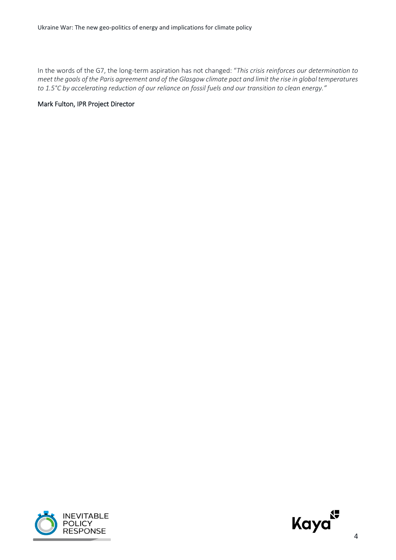In the words of the G7, the long-term aspiration has not changed: "*This crisis reinforces our determination to meet the goals of the Paris agreement and of the Glasgow climate pact and limit the rise in global temperatures to 1.5°C by accelerating reduction of our reliance on fossil fuels and our transition to clean energy."*

#### Mark Fulton, IPR Project Director



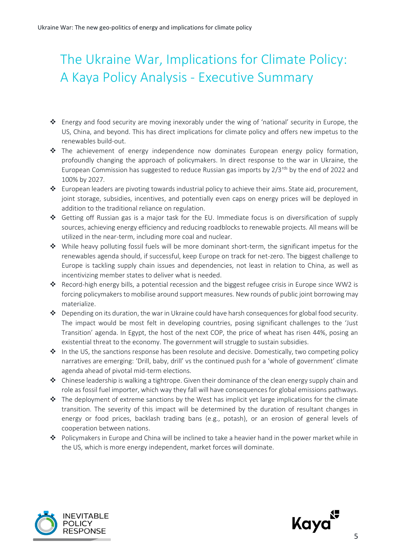## <span id="page-4-0"></span>The Ukraine War, Implications for Climate Policy: A Kaya Policy Analysis - Executive Summary

- ❖ Energy and food security are moving inexorably under the wing of 'national' security in Europe, the US, China, and beyond. This has direct implications for climate policy and offers new impetus to the renewables build-out.
- ❖ The achievement of energy independence now dominates European energy policy formation, profoundly changing the approach of policymakers. In direct response to the war in Ukraine, the European Commission has suggested to reduce Russian gas imports by  $2/3^{rds}$  by the end of 2022 and 100% by 2027.
- ❖ European leaders are pivoting towards industrial policy to achieve their aims. State aid, procurement, joint storage, subsidies, incentives, and potentially even caps on energy prices will be deployed in addition to the traditional reliance on regulation.
- ❖ Getting off Russian gas is a major task for the EU. Immediate focus is on diversification of supply sources, achieving energy efficiency and reducing roadblocks to renewable projects. All means will be utilized in the near-term, including more coal and nuclear.
- ❖ While heavy polluting fossil fuels will be more dominant short-term, the significant impetus for the renewables agenda should, if successful, keep Europe on track for net-zero. The biggest challenge to Europe is tackling supply chain issues and dependencies, not least in relation to China, as well as incentivizing member states to deliver what is needed.
- ❖ Record-high energy bills, a potential recession and the biggest refugee crisis in Europe since WW2 is forcing policymakers to mobilise around support measures. New rounds of public joint borrowing may materialize.
- ❖ Depending on its duration, the war in Ukraine could have harsh consequences for global food security. The impact would be most felt in developing countries, posing significant challenges to the 'Just Transition' agenda. In Egypt, the host of the next COP, the price of wheat has risen 44%, posing an existential threat to the economy. The government will struggle to sustain subsidies.
- ❖ In the US, the sanctions response has been resolute and decisive. Domestically, two competing policy narratives are emerging: 'Drill, baby, drill' vs the continued push for a 'whole of government' climate agenda ahead of pivotal mid-term elections.
- ❖ Chinese leadership is walking a tightrope. Given their dominance of the clean energy supply chain and role as fossil fuel importer, which way they fall will have consequences for global emissions pathways.
- $\cdot \cdot$  The deployment of extreme sanctions by the West has implicit yet large implications for the climate transition. The severity of this impact will be determined by the duration of resultant changes in energy or food prices, backlash trading bans (e.g., potash), or an erosion of general levels of cooperation between nations.
- ❖ Policymakers in Europe and China will be inclined to take a heavier hand in the power market while in the US, which is more energy independent, market forces will dominate.



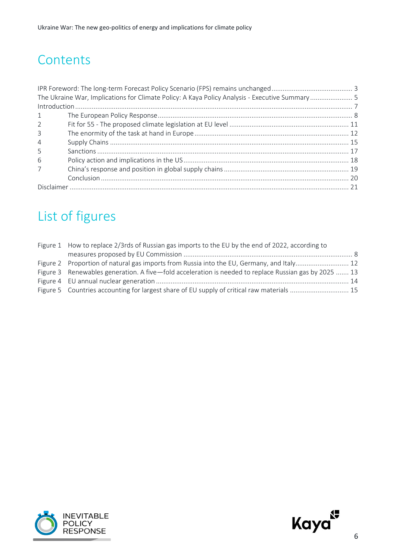#### **Contents**

| The Ukraine War, Implications for Climate Policy: A Kaya Policy Analysis - Executive Summary  5 |  |  |
|-------------------------------------------------------------------------------------------------|--|--|
|                                                                                                 |  |  |
| 1                                                                                               |  |  |
| $2^{\circ}$                                                                                     |  |  |
| 3                                                                                               |  |  |
| $\overline{4}$                                                                                  |  |  |
| -5                                                                                              |  |  |
| 6                                                                                               |  |  |
| $\overline{7}$                                                                                  |  |  |
|                                                                                                 |  |  |
|                                                                                                 |  |  |

## List of figures

| Figure 1 How to replace 2/3rds of Russian gas imports to the EU by the end of 2022, according to      |  |
|-------------------------------------------------------------------------------------------------------|--|
|                                                                                                       |  |
| Figure 2 Proportion of natural gas imports from Russia into the EU, Germany, and Italy 12             |  |
| Figure 3 Renewables generation. A five-fold acceleration is needed to replace Russian gas by 2025  13 |  |
|                                                                                                       |  |
| Figure 5 Countries accounting for largest share of EU supply of critical raw materials  15            |  |



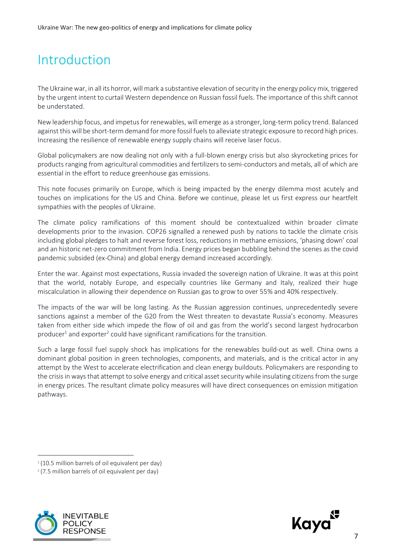### <span id="page-6-0"></span>Introduction

The Ukraine war, in all its horror, will mark a substantive elevation of security in the energy policy mix, triggered by the urgent intent to curtail Western dependence on Russian fossil fuels. The importance of this shift cannot be understated.

New leadership focus, and impetus for renewables, will emerge as a stronger, long-term policy trend. Balanced against this will be short-term demand for more fossil fuels to alleviate strategic exposure to record high prices. Increasing the resilience of renewable energy supply chains will receive laser focus.

Global policymakers are now dealing not only with a full-blown energy crisis but also skyrocketing prices for products ranging from agricultural commodities and fertilizers to semi-conductors and metals, all of which are essential in the effort to reduce greenhouse gas emissions.

This note focuses primarily on Europe, which is being impacted by the energy dilemma most acutely and touches on implications for the US and China. Before we continue, please let us first express our heartfelt sympathies with the peoples of Ukraine.

The climate policy ramifications of this moment should be contextualized within broader climate developments prior to the invasion. COP26 signalled a renewed push by nations to tackle the climate crisis including global pledges to halt and reverse forest loss, reductions in methane emissions, 'phasing down' coal and an historic net-zero commitment from India. Energy prices began bubbling behind the scenes as the covid pandemic subsided (ex-China) and global energy demand increased accordingly.

Enter the war. Against most expectations, Russia invaded the sovereign nation of Ukraine. It was at this point that the world, notably Europe, and especially countries like Germany and Italy, realized their huge miscalculation in allowing their dependence on Russian gas to grow to over 55% and 40% respectively.

The impacts of the war will be long lasting. As the Russian aggression continues, unprecedentedly severe sanctions against a member of the G20 from the West threaten to devastate Russia's economy. Measures taken from either side which impede the flow of oil and gas from the world's second largest hydrocarbon producer<sup>1</sup> and exporter<sup>2</sup> could have significant ramifications for the transition.

Such a large fossil fuel supply shock has implications for the renewables build-out as well. China owns a dominant global position in green technologies, components, and materials, and is the critical actor in any attempt by the West to accelerate electrification and clean energy buildouts. Policymakers are responding to the crisis in ways that attempt to solve energy and critical asset security while insulating citizens from the surge in energy prices. The resultant climate policy measures will have direct consequences on emission mitigation pathways.





<sup>&</sup>lt;sup>1</sup> (10.5 million barrels of oil equivalent per day)

<sup>2</sup> (7.5 million barrels of oil equivalent per day)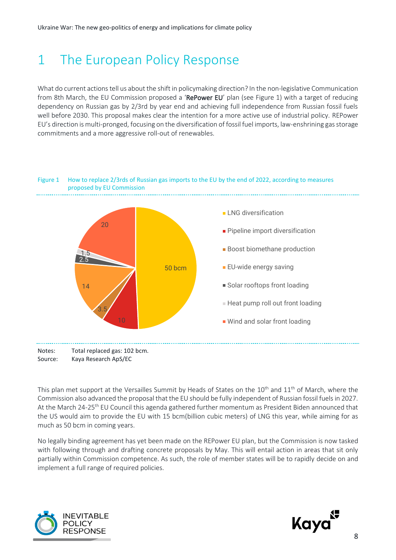### <span id="page-7-0"></span>1 The European Policy Response

What do current actions tell us about the shift in policymaking direction? In the non-legislative Communication from 8th March, the EU Commission proposed a 'RePower EU' plan (see Figure 1) with a target of reducing dependency on Russian gas by 2/3rd by year end and achieving full independence from Russian fossil fuels well before 2030. This proposal makes clear the intention for a more active use of industrial policy. REPower EU's direction is multi-pronged, focusing on the diversification of fossil fuel imports, law-enshrining gas storage commitments and a more aggressive roll-out of renewables.



<span id="page-7-1"></span>Figure 1 How to replace 2/3rds of Russian gas imports to the EU by the end of 2022, according to measures proposed by EU Commission

This plan met support at the Versailles Summit by Heads of States on the 10<sup>th</sup> and 11<sup>th</sup> of March, where the Commission also advanced the proposal that the EU should be fully independent of Russian fossil fuels in 2027. At the March 24-25<sup>th</sup> EU Council this agenda gathered further momentum as President Biden announced that the US would aim to provide the EU with 15 bcm(billion cubic meters) of LNG this year, while aiming for as much as 50 bcm in coming years.

No legally binding agreement has yet been made on the REPower EU plan, but the Commission is now tasked with following through and drafting concrete proposals by May. This will entail action in areas that sit only partially within Commission competence. As such, the role of member states will be to rapidly decide on and implement a full range of required policies.



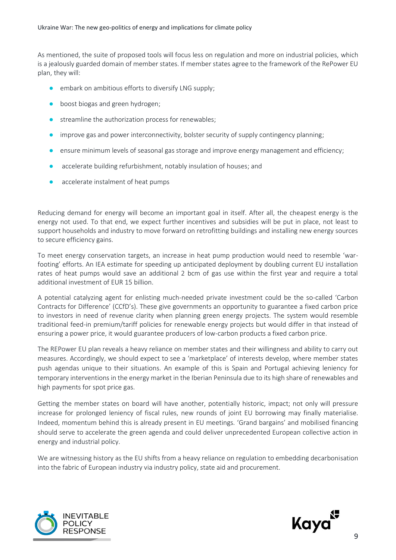As mentioned, the suite of proposed tools will focus less on regulation and more on industrial policies, which is a jealously guarded domain of member states. If member states agree to the framework of the RePower EU plan, they will:

- embark on ambitious efforts to diversify LNG supply;
- boost biogas and green hydrogen;
- streamline the authorization process for renewables:
- improve gas and power interconnectivity, bolster security of supply contingency planning;
- ensure minimum levels of seasonal gas storage and improve energy management and efficiency;
- accelerate building refurbishment, notably insulation of houses; and
- accelerate instalment of heat pumps

Reducing demand for energy will become an important goal in itself. After all, the cheapest energy is the energy not used. To that end, we expect further incentives and subsidies will be put in place, not least to support households and industry to move forward on retrofitting buildings and installing new energy sources to secure efficiency gains.

To meet energy conservation targets, an increase in heat pump production would need to resemble 'warfooting' efforts. An IEA estimate for speeding up anticipated deployment by doubling current EU installation rates of heat pumps would save an additional 2 bcm of gas use within the first year and require a total additional investment of EUR 15 billion.

A potential catalyzing agent for enlisting much-needed private investment could be the so-called 'Carbon Contracts for Difference' (CCfD's). These give governments an opportunity to guarantee a fixed carbon price to investors in need of revenue clarity when planning green energy projects. The system would resemble traditional feed-in premium/tariff policies for renewable energy projects but would differ in that instead of ensuring a power price, it would guarantee producers of low-carbon products a fixed carbon price.

The REPower EU plan reveals a heavy reliance on member states and their willingness and ability to carry out measures. Accordingly, we should expect to see a 'marketplace' of interests develop, where member states push agendas unique to their situations. An example of this is Spain and Portugal achieving leniency for temporary interventions in the energy market in the Iberian Peninsula due to its high share of renewables and high payments for spot price gas.

Getting the member states on board will have another, potentially historic, impact; not only will pressure increase for prolonged leniency of fiscal rules, new rounds of joint EU borrowing may finally materialise. Indeed, momentum behind this is already present in EU meetings. 'Grand bargains' and mobilised financing should serve to accelerate the green agenda and could deliver unprecedented European collective action in energy and industrial policy.

We are witnessing history as the EU shifts from a heavy reliance on regulation to embedding decarbonisation into the fabric of European industry via industry policy, state aid and procurement.



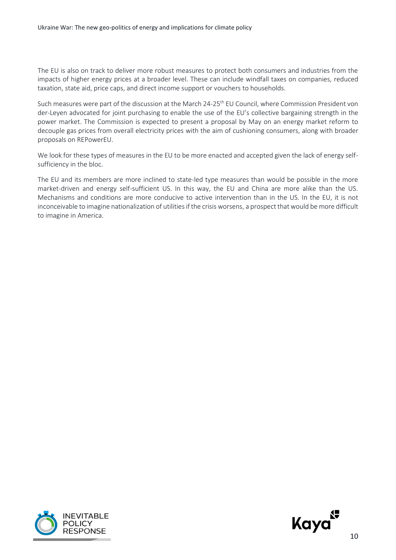The EU is also on track to deliver more robust measures to protect both consumers and industries from the impacts of higher energy prices at a broader level. These can include windfall taxes on companies, reduced taxation, state aid, price caps, and direct income support or vouchers to households.

Such measures were part of the discussion at the March 24-25<sup>th</sup> EU Council, where Commission President von der-Leyen advocated for joint purchasing to enable the use of the EU's collective bargaining strength in the power market. The Commission is expected to present a proposal by May on an energy market reform to decouple gas prices from overall electricity prices with the aim of cushioning consumers, along with broader proposals on REPowerEU.

We look for these types of measures in the EU to be more enacted and accepted given the lack of energy selfsufficiency in the bloc.

The EU and its members are more inclined to state-led type measures than would be possible in the more market-driven and energy self-sufficient US. In this way, the EU and China are more alike than the US. Mechanisms and conditions are more conducive to active intervention than in the US. In the EU, it is not inconceivable to imagine nationalization of utilities if the crisis worsens, a prospectthat would be more difficult to imagine in America.



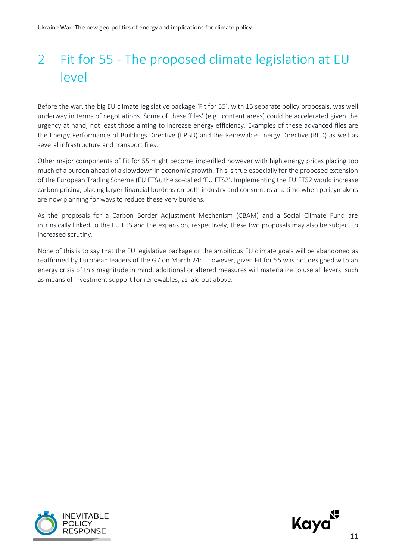## <span id="page-10-0"></span>2 Fit for 55 - The proposed climate legislation at EU level

Before the war, the big EU climate legislative package 'Fit for 55', with 15 separate policy proposals, was well underway in terms of negotiations. Some of these 'files' (e.g., content areas) could be accelerated given the urgency at hand, not least those aiming to increase energy efficiency. Examples of these advanced files are the Energy Performance of Buildings Directive (EPBD) and the Renewable Energy Directive (RED) as well as several infrastructure and transport files.

Other major components of Fit for 55 might become imperilled however with high energy prices placing too much of a burden ahead of a slowdown in economic growth. This is true especially for the proposed extension of the European Trading Scheme (EU ETS), the so-called 'EU ETS2'. Implementing the EU ETS2 would increase carbon pricing, placing larger financial burdens on both industry and consumers at a time when policymakers are now planning for ways to reduce these very burdens.

As the proposals for a Carbon Border Adjustment Mechanism (CBAM) and a Social Climate Fund are intrinsically linked to the EU ETS and the expansion, respectively, these two proposals may also be subject to increased scrutiny.

None of this is to say that the EU legislative package or the ambitious EU climate goals will be abandoned as reaffirmed by European leaders of the G7 on March 24<sup>th</sup>. However, given Fit for 55 was not designed with an energy crisis of this magnitude in mind, additional or altered measures will materialize to use all levers, such as means of investment support for renewables, as laid out above.



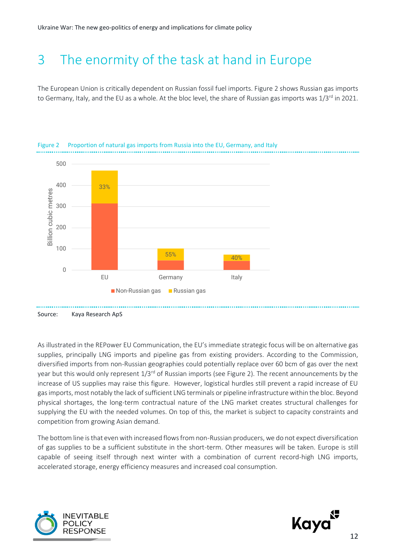#### <span id="page-11-0"></span>3 The enormity of the task at hand in Europe

The European Union is critically dependent on Russian fossil fuel imports. Figure 2 shows Russian gas imports to Germany, Italy, and the EU as a whole. At the bloc level, the share of Russian gas imports was 1/3<sup>rd</sup> in 2021.



<span id="page-11-1"></span>

As illustrated in the REPower EU Communication, the EU's immediate strategic focus will be on alternative gas supplies, principally LNG imports and pipeline gas from existing providers. According to the Commission, diversified imports from non-Russian geographies could potentially replace over 60 bcm of gas over the next year but this would only represent  $1/3^{rd}$  of Russian imports (see Figure 2). The recent announcements by the increase of US supplies may raise this figure. However, logistical hurdles still prevent a rapid increase of EU gas imports, most notably the lack of sufficient LNG terminals or pipeline infrastructure within the bloc. Beyond physical shortages, the long-term contractual nature of the LNG market creates structural challenges for supplying the EU with the needed volumes. On top of this, the market is subject to capacity constraints and competition from growing Asian demand.

The bottom line is that even with increased flows from non-Russian producers, we do not expect diversification of gas supplies to be a sufficient substitute in the short-term. Other measures will be taken. Europe is still capable of seeing itself through next winter with a combination of current record-high LNG imports, accelerated storage, energy efficiency measures and increased coal consumption.



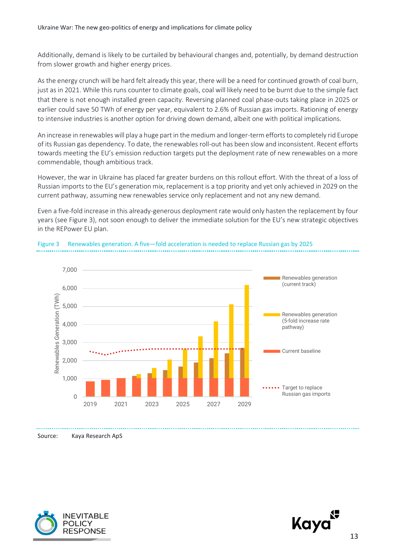Additionally, demand is likely to be curtailed by behavioural changes and, potentially, by demand destruction from slower growth and higher energy prices.

As the energy crunch will be hard felt already this year, there will be a need for continued growth of coal burn, just as in 2021. While this runs counter to climate goals, coal will likely need to be burnt due to the simple fact that there is not enough installed green capacity. Reversing planned coal phase-outs taking place in 2025 or earlier could save 50 TWh of energy per year, equivalent to 2.6% of Russian gas imports. Rationing of energy to intensive industries is another option for driving down demand, albeit one with political implications.

An increase in renewables will play a huge part in the medium and longer-term efforts to completely rid Europe of its Russian gas dependency. To date, the renewables roll-out has been slow and inconsistent. Recent efforts towards meeting the EU's emission reduction targets put the deployment rate of new renewables on a more commendable, though ambitious track.

However, the war in Ukraine has placed far greater burdens on this rollout effort. With the threat of a loss of Russian imports to the EU's generation mix, replacement is a top priority and yet only achieved in 2029 on the current pathway, assuming new renewables service only replacement and not any new demand.

Even a five-fold increase in this already-generous deployment rate would only hasten the replacement by four years (see Figure 3), not soon enough to deliver the immediate solution for the EU's new strategic objectives in the REPower EU plan.



<span id="page-12-0"></span>

Source: Kaya Research ApS



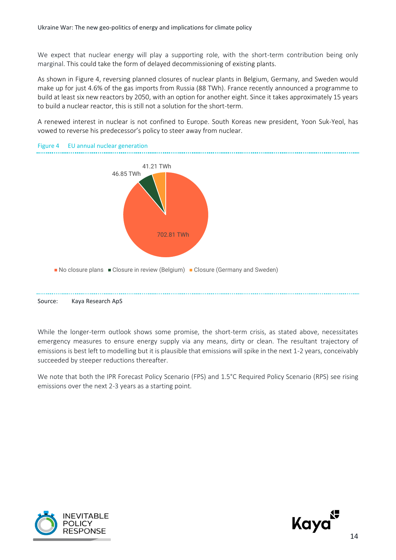We expect that nuclear energy will play a supporting role, with the short-term contribution being only marginal. This could take the form of delayed decommissioning of existing plants.

As shown in Figure 4, reversing planned closures of nuclear plants in Belgium, Germany, and Sweden would make up for just 4.6% of the gas imports from Russia (88 TWh). France recently announced a programme to build at least six new reactors by 2050, with an option for another eight. Since it takes approximately 15 years to build a nuclear reactor, this is still not a solution for the short-term.

A renewed interest in nuclear is not confined to Europe. South Koreas new president, Yoon Suk-Yeol, has vowed to reverse his predecessor's policy to steer away from nuclear.

<span id="page-13-0"></span>

While the longer-term outlook shows some promise, the short-term crisis, as stated above, necessitates emergency measures to ensure energy supply via any means, dirty or clean. The resultant trajectory of emissions is best left to modelling but it is plausible that emissions will spike in the next 1-2 years, conceivably succeeded by steeper reductions thereafter.

We note that both the IPR Forecast Policy Scenario (FPS) and 1.5°C Required Policy Scenario (RPS) see rising emissions over the next 2-3 years as a starting point.



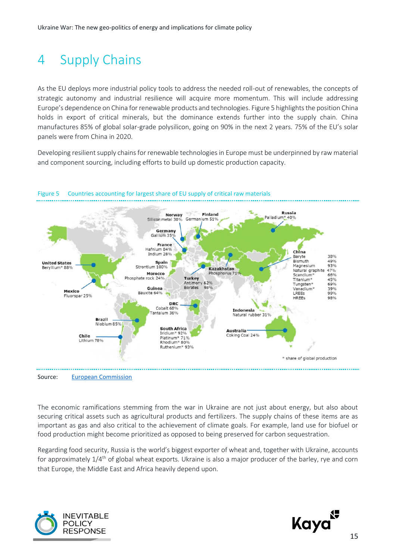## <span id="page-14-0"></span>4 Supply Chains

As the EU deploys more industrial policy tools to address the needed roll-out of renewables, the concepts of strategic autonomy and industrial resilience will acquire more momentum. This will include addressing Europe's dependence on China for renewable products and technologies. Figure 5 highlights the position China holds in export of critical minerals, but the dominance extends further into the supply chain. China manufactures 85% of global solar-grade polysilicon, going on 90% in the next 2 years. 75% of the EU's solar panels were from China in 2020.

Developing resilient supply chains for renewable technologies in Europe must be underpinned by raw material and component sourcing, including efforts to build up domestic production capacity.



#### <span id="page-14-1"></span>Figure 5 Countries accounting for largest share of EU supply of critical raw materials

The economic ramifications stemming from the war in Ukraine are not just about energy, but also about securing critical assets such as agricultural products and fertilizers. The supply chains of these items are as important as gas and also critical to the achievement of climate goals. For example, land use for biofuel or

food production might become prioritized as opposed to being preserved for carbon sequestration.

Regarding food security, Russia is the world's biggest exporter of wheat and, together with Ukraine, accounts for approximately 1/4th of global wheat exports. Ukraine is also a major producer of the barley, rye and corn that Europe, the Middle East and Africa heavily depend upon.



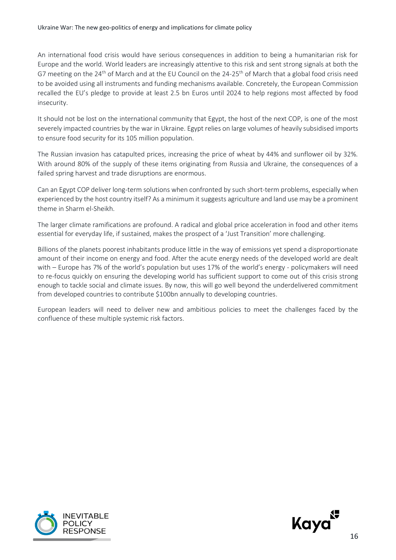An international food crisis would have serious consequences in addition to being a humanitarian risk for Europe and the world. World leaders are increasingly attentive to this risk and sent strong signals at both the G7 meeting on the 24<sup>th</sup> of March and at the EU Council on the 24-25<sup>th</sup> of March that a global food crisis need to be avoided using all instruments and funding mechanisms available. Concretely, the European Commission recalled the EU's pledge to provide at least 2.5 bn Euros until 2024 to help regions most affected by food insecurity.

It should not be lost on the international community that Egypt, the host of the next COP, is one of the most severely impacted countries by the war in Ukraine. Egypt relies on large volumes of heavily subsidised imports to ensure food security for its 105 million population.

The Russian invasion has catapulted prices, increasing the price of wheat by 44% and sunflower oil by 32%. With around 80% of the supply of these items originating from Russia and Ukraine, the consequences of a failed spring harvest and trade disruptions are enormous.

Can an Egypt COP deliver long-term solutions when confronted by such short-term problems, especially when experienced by the host country itself? As a minimum it suggests agriculture and land use may be a prominent theme in Sharm el-Sheikh.

The larger climate ramifications are profound. A radical and global price acceleration in food and other items essential for everyday life, if sustained, makes the prospect of a 'Just Transition' more challenging.

Billions of the planets poorest inhabitants produce little in the way of emissions yet spend a disproportionate amount of their income on energy and food. After the acute energy needs of the developed world are dealt with – Europe has 7% of the world's population but uses 17% of the world's energy - policymakers will need to re-focus quickly on ensuring the developing world has sufficient support to come out of this crisis strong enough to tackle social and climate issues. By now, this will go well beyond the underdelivered commitment from developed countries to contribute \$100bn annually to developing countries.

European leaders will need to deliver new and ambitious policies to meet the challenges faced by the confluence of these multiple systemic risk factors.



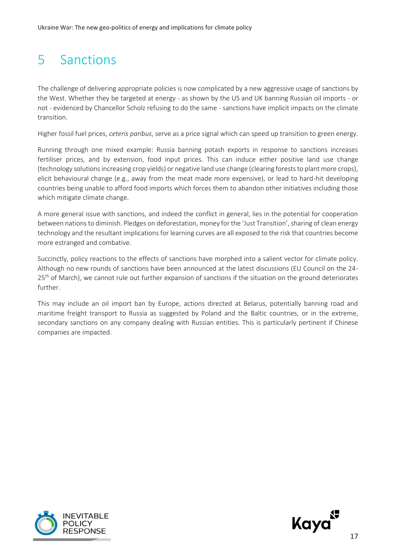### <span id="page-16-0"></span>5 Sanctions

The challenge of delivering appropriate policies is now complicated by a new aggressive usage of sanctions by the West. Whether they be targeted at energy - as shown by the US and UK banning Russian oil imports - or not - evidenced by Chancellor Scholz refusing to do the same - sanctions have implicit impacts on the climate transition.

Higher fossil fuel prices, *ceteris paribus*, serve as a price signal which can speed up transition to green energy.

Running through one mixed example: Russia banning potash exports in response to sanctions increases fertiliser prices, and by extension, food input prices. This can induce either positive land use change (technology solutions increasing crop yields) or negative land use change (clearing forests to plant more crops), elicit behavioural change (e.g., away from the meat made more expensive), or lead to hard-hit developing countries being unable to afford food imports which forces them to abandon other initiatives including those which mitigate climate change.

A more general issue with sanctions, and indeed the conflict in general, lies in the potential for cooperation between nations to diminish. Pledges on deforestation, money for the 'Just Transition', sharing of clean energy technology and the resultant implications for learning curves are all exposed to the risk that countries become more estranged and combative.

Succinctly, policy reactions to the effects of sanctions have morphed into a salient vector for climate policy. Although no new rounds of sanctions have been announced at the latest discussions (EU Council on the 24- 25<sup>th</sup> of March), we cannot rule out further expansion of sanctions if the situation on the ground deteriorates further.

This may include an oil import ban by Europe, actions directed at Belarus, potentially banning road and maritime freight transport to Russia as suggested by Poland and the Baltic countries, or in the extreme, secondary sanctions on any company dealing with Russian entities. This is particularly pertinent if Chinese companies are impacted.



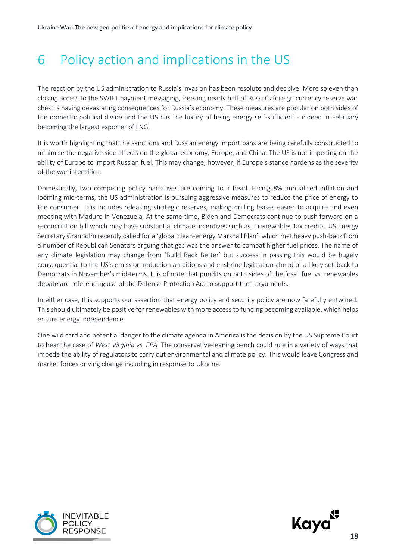## <span id="page-17-0"></span>6 Policy action and implications in the US

The reaction by the US administration to Russia's invasion has been resolute and decisive. More so even than closing access to the SWIFT payment messaging, freezing nearly half of Russia's foreign currency reserve war chest is having devastating consequences for Russia's economy. These measures are popular on both sides of the domestic political divide and the US has the luxury of being energy self-sufficient - indeed in February becoming the largest exporter of LNG.

It is worth highlighting that the sanctions and Russian energy import bans are being carefully constructed to minimise the negative side effects on the global economy, Europe, and China. The US is not impeding on the ability of Europe to import Russian fuel. This may change, however, if Europe's stance hardens as the severity of the war intensifies.

Domestically, two competing policy narratives are coming to a head. Facing 8% annualised inflation and looming mid-terms, the US administration is pursuing aggressive measures to reduce the price of energy to the consumer. This includes releasing strategic reserves, making drilling leases easier to acquire and even meeting with Maduro in Venezuela. At the same time, Biden and Democrats continue to push forward on a reconciliation bill which may have substantial climate incentives such as a renewables tax credits. US Energy Secretary Granholm recently called for a 'global clean-energy Marshall Plan', which met heavy push-back from a number of Republican Senators arguing that gas was the answer to combat higher fuel prices. The name of any climate legislation may change from 'Build Back Better' but success in passing this would be hugely consequential to the US's emission reduction ambitions and enshrine legislation ahead of a likely set-back to Democrats in November's mid-terms. It is of note that pundits on both sides of the fossil fuel vs. renewables debate are referencing use of the Defense Protection Act to support their arguments.

In either case, this supports our assertion that energy policy and security policy are now fatefully entwined. This should ultimately be positive for renewables with more access to funding becoming available, which helps ensure energy independence.

One wild card and potential danger to the climate agenda in America is the decision by the US Supreme Court to hear the case of *West Virginia vs. EPA.* The conservative-leaning bench could rule in a variety of ways that impede the ability of regulators to carry out environmental and climate policy. This would leave Congress and market forces driving change including in response to Ukraine.



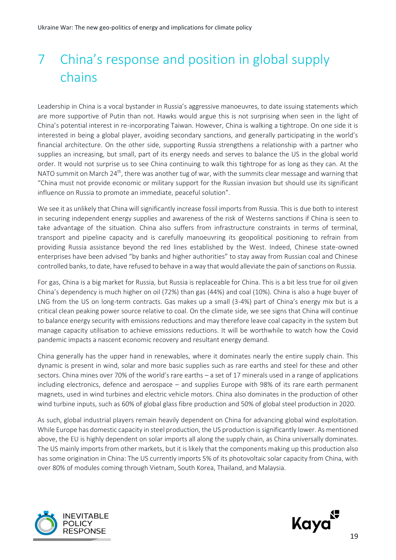## <span id="page-18-0"></span>7 China's response and position in global supply chains

Leadership in China is a vocal bystander in Russia's aggressive manoeuvres, to date issuing statements which are more supportive of Putin than not. Hawks would argue this is not surprising when seen in the light of China's potential interest in re-incorporating Taiwan. However, China is walking a tightrope. On one side it is interested in being a global player, avoiding secondary sanctions, and generally participating in the world's financial architecture. On the other side, supporting Russia strengthens a relationship with a partner who supplies an increasing, but small, part of its energy needs and serves to balance the US in the global world order. It would not surprise us to see China continuing to walk this tightrope for as long as they can. At the NATO summit on March 24<sup>th</sup>, there was another tug of war, with the summits clear message and warning that "China must not provide economic or military support for the Russian invasion but should use its significant influence on Russia to promote an immediate, peaceful solution".

We see it as unlikely that China will significantly increase fossil imports from Russia. This is due both to interest in securing independent energy supplies and awareness of the risk of Westerns sanctions if China is seen to take advantage of the situation. China also suffers from infrastructure constraints in terms of terminal, transport and pipeline capacity and is carefully manoeuvring its geopolitical positioning to refrain from providing Russia assistance beyond the red lines established by the West. Indeed, Chinese state-owned enterprises have been advised "by banks and higher authorities" to stay away from Russian coal and Chinese controlled banks, to date, have refused to behave in a way that would alleviate the pain of sanctions on Russia.

For gas, China is a big market for Russia, but Russia is replaceable for China. This is a bit less true for oil given China's dependency is much higher on oil (72%) than gas (44%) and coal (10%). China is also a huge buyer of LNG from the US on long-term contracts. Gas makes up a small (3-4%) part of China's energy mix but is a critical clean peaking power source relative to coal. On the climate side, we see signs that China will continue to balance energy security with emissions reductions and may therefore leave coal capacity in the system but manage capacity utilisation to achieve emissions reductions. It will be worthwhile to watch how the Covid pandemic impacts a nascent economic recovery and resultant energy demand.

China generally has the upper hand in renewables, where it dominates nearly the entire supply chain. This dynamic is present in wind, solar and more basic supplies such as rare earths and steel for these and other sectors. China mines over 70% of the world's rare earths – a set of 17 minerals used in a range of applications including electronics, defence and aerospace – and supplies Europe with 98% of its rare earth permanent magnets, used in wind turbines and electric vehicle motors. China also dominates in the production of other wind turbine inputs, such as 60% of global glass fibre production and 50% of global steel production in 2020.

As such, global industrial players remain heavily dependent on China for advancing global wind exploitation. While Europe has domestic capacity in steel production, the US production is significantly lower. As mentioned above, the EU is highly dependent on solar imports all along the supply chain, as China universally dominates. The US mainly imports from other markets, but it is likely that the components making up this production also has some origination in China: The US currently imports 5% of its photovoltaic solar capacity from China, with over 80% of modules coming through Vietnam, South Korea, Thailand, and Malaysia.



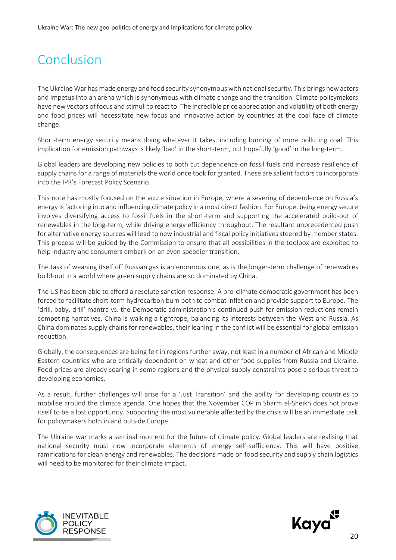### <span id="page-19-0"></span>Conclusion

The Ukraine War has made energy and food security synonymous with national security. This brings new actors and impetus into an arena which is synonymous with climate change and the transition. Climate policymakers have new vectors of focus and stimuli to react to. The incredible price appreciation and volatility of both energy and food prices will necessitate new focus and innovative action by countries at the coal face of climate change.

Short-term energy security means doing whatever it takes, including burning of more polluting coal. This implication for emission pathways is likely 'bad' in the short-term, but hopefully 'good' in the long-term.

Global leaders are developing new policies to both cut dependence on fossil fuels and increase resilience of supply chains for a range of materials the world once took for granted. These are salient factors to incorporate into the IPR's Forecast Policy Scenario.

This note has mostly focused on the acute situation in Europe, where a severing of dependence on Russia's energy is factoring into and influencing climate policy in a most direct fashion. For Europe, being energy secure involves diversifying access to fossil fuels in the short-term and supporting the accelerated build-out of renewables in the long-term, while driving energy efficiency throughout. The resultant unprecedented push for alternative energy sources will lead to new industrial and fiscal policy initiatives steered by member states. This process will be guided by the Commission to ensure that all possibilities in the toolbox are exploited to help industry and consumers embark on an even speedier transition.

The task of weaning itself off Russian gas is an enormous one, as is the longer-term challenge of renewables build-out in a world where green supply chains are so dominated by China.

The US has been able to afford a resolute sanction response. A pro-climate democratic government has been forced to facilitate short-term hydrocarbon burn both to combat inflation and provide support to Europe. The 'drill, baby, drill' mantra vs. the Democratic administration's continued push for emission reductions remain competing narratives. China is walking a tightrope, balancing its interests between the West and Russia. As China dominates supply chains for renewables, their leaning in the conflict will be essential for global emission reduction.

Globally, the consequences are being felt in regions further away, not least in a number of African and Middle Eastern countries who are critically dependent on wheat and other food supplies from Russia and Ukraine. Food prices are already soaring in some regions and the physical supply constraints pose a serious threat to developing economies.

As a result, further challenges will arise for a 'Just Transition' and the ability for developing countries to mobilise around the climate agenda. One hopes that the November COP in Sharm el-Sheikh does not prove itself to be a lost opportunity. Supporting the most vulnerable affected by the crisis will be an immediate task for policymakers both in and outside Europe.

The Ukraine war marks a seminal moment for the future of climate policy. Global leaders are realising that national security must now incorporate elements of energy self-sufficiency. This will have positive ramifications for clean energy and renewables. The decisions made on food security and supply chain logistics will need to be monitored for their climate impact.